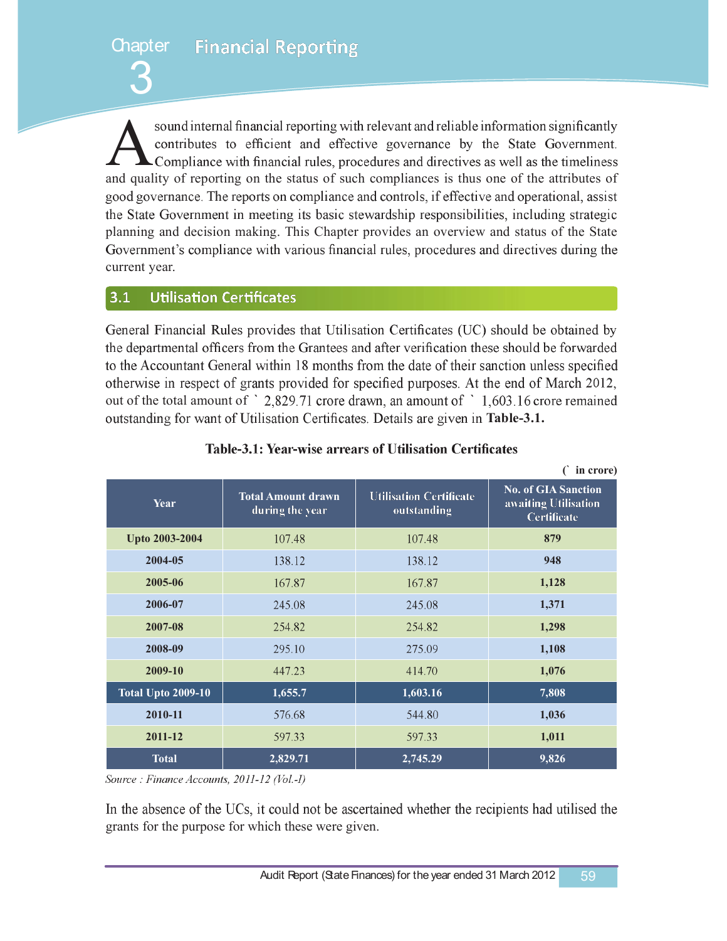**Financial Reporting Chapter** 

sound internal financial reporting with relevant and reliable information significantly<br>contributes to efficient and effective governance by the State Government.<br>Compliance with financial rules, procedures and directives and quality of reporting on the status of such compliances is thus one of the attributes of good governance. The reports on compliance and controls, if effective and operational, assist the State Government in meeting its basic stewardship responsibilities, including strategic planning and decision making. This Chapter provides an overview and status of the State Government's compliance with various financial rules, procedures and directives during the current year.

### $3.1$ **Utilisation Certificates**

3

General Financial Rules provides that Utilisation Certificates (UC) should be obtained by the departmental officers from the Grantees and after verification these should be forwarded to the Accountant General within 18 months from the date of their sanction unless specified otherwise in respect of grants provided for specified purposes. At the end of March 2012, out of the total amount of  $\degree$  2,829.71 crore drawn, an amount of  $\degree$  1,603.16 crore remained outstanding for want of Utilisation Certificates. Details are given in Table-3.1.

|                           |                                              |                                               | <u>m</u> crore                                                           |
|---------------------------|----------------------------------------------|-----------------------------------------------|--------------------------------------------------------------------------|
| Year                      | <b>Total Amount drawn</b><br>during the year | <b>Utilisation Certificate</b><br>outstanding | <b>No. of GIA Sanction</b><br>awaiting Utilisation<br><b>Certificate</b> |
| Upto 2003-2004            | 107.48                                       | 107.48                                        | 879                                                                      |
| 2004-05                   | 138.12                                       | 138.12                                        | 948                                                                      |
| 2005-06                   | 167.87                                       | 167.87                                        | 1,128                                                                    |
| 2006-07                   | 245.08                                       | 245.08                                        | 1,371                                                                    |
| 2007-08                   | 254.82                                       | 254.82                                        | 1,298                                                                    |
| 2008-09                   | 295.10                                       | 275.09                                        | 1,108                                                                    |
| 2009-10                   | 447.23                                       | 414.70                                        | 1,076                                                                    |
| <b>Total Upto 2009-10</b> | 1,655.7                                      | 1,603.16                                      | 7,808                                                                    |
| 2010-11                   | 576.68                                       | 544.80                                        | 1,036                                                                    |
| 2011-12                   | 597.33                                       | 597.33                                        | 1,011                                                                    |
| <b>Total</b>              | 2,829.71                                     | 2,745.29                                      | 9,826                                                                    |

# Table-3.1: Year-wise arrears of Utilisation Certificates

**(**` **in crore)** 

Source: Finance Accounts, 2011-12 (Vol.-I)

In the absence of the UCs, it could not be ascertained whether the recipients had utilised the grants for the purpose for which these were given.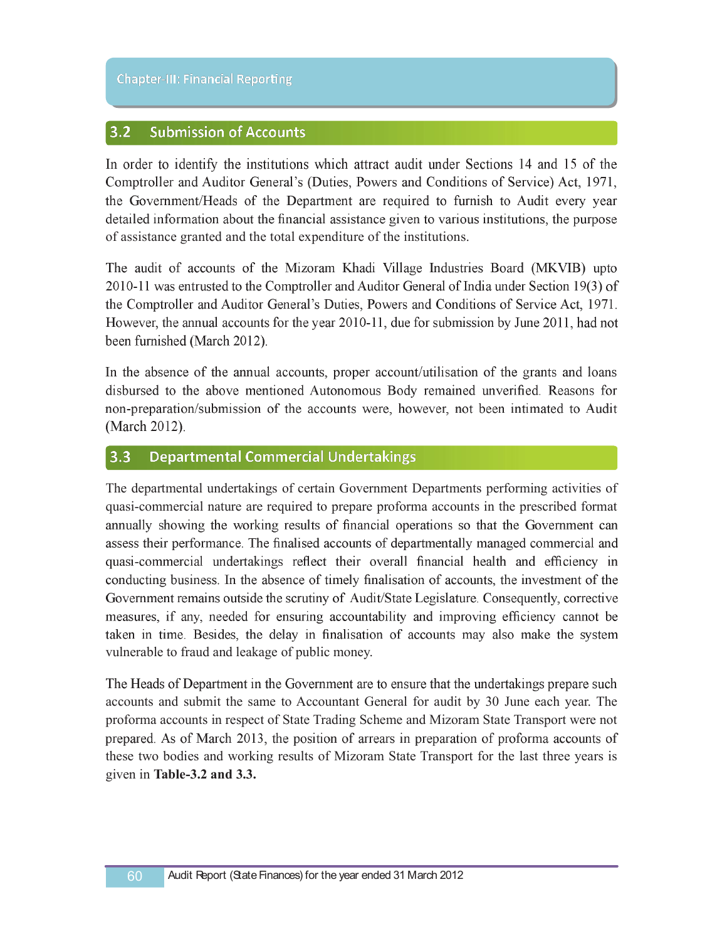### $3.2$ **Submission of Accounts**

In order to identify the institutions which attract audit under Sections 14 and 15 of the Comptroller and Auditor General's (Duties, Powers and Conditions of Service) Act, 1971, the Government/Heads of the Department are required to furnish to Audit every year detailed information about the financial assistance given to various institutions, the purpose of assistance granted and the total expenditure of the institutions.

The audit of accounts of the Mizoram Khadi Village Industries Board (MKVIB) upto 2010-11 was entrusted to the Comptroller and Auditor General of India under Section 19(3) of the Comptroller and Auditor General's Duties, Powers and Conditions of Service Act, 1971. However, the annual accounts for the year 2010-11, due for submission by June 2011, had not been furnished (March 2012).

In the absence of the annual accounts, proper account/utilisation of the grants and loans disbursed to the above mentioned Autonomous Body remained unverified. Reasons for non-preparation/submission of the accounts were, however, not been intimated to Audit (March 2012).

### **Departmental Commercial Undertakings**  $3.3$

The departmental undertakings of certain Government Departments performing activities of quasicommercial nature are required to prepare proforma accounts in the prescribed format annually showing the working results of financial operations so that the Government can assess their performance. The finalised accounts of departmentally managed commercial and quasi-commercial undertakings reflect their overall financial health and efficiency in conducting business. In the absence of timely finalisation of accounts, the investment of the Government remains outside the scrutiny of Audit/State Legislature. Consequently, corrective measures, if any, needed for ensuring accountability and improving efficiency cannot be taken in time. Besides, the delay in finalisation of accounts may also make the system vulnerable to fraud and leakage of public money.

The Heads of Department in the Government are to ensure that the undertakings prepare such accounts and submit the same to Accountant General for audit by 30 June each year. The proforma accounts in respect of State Trading Scheme and Mizoram State Transport were not prepared. As of March 2013, the position of arrears in preparation of proforma accounts of these two bodies and working results of Mizoram State Transport for the last three years is given in **Table3.2 and 3.3.**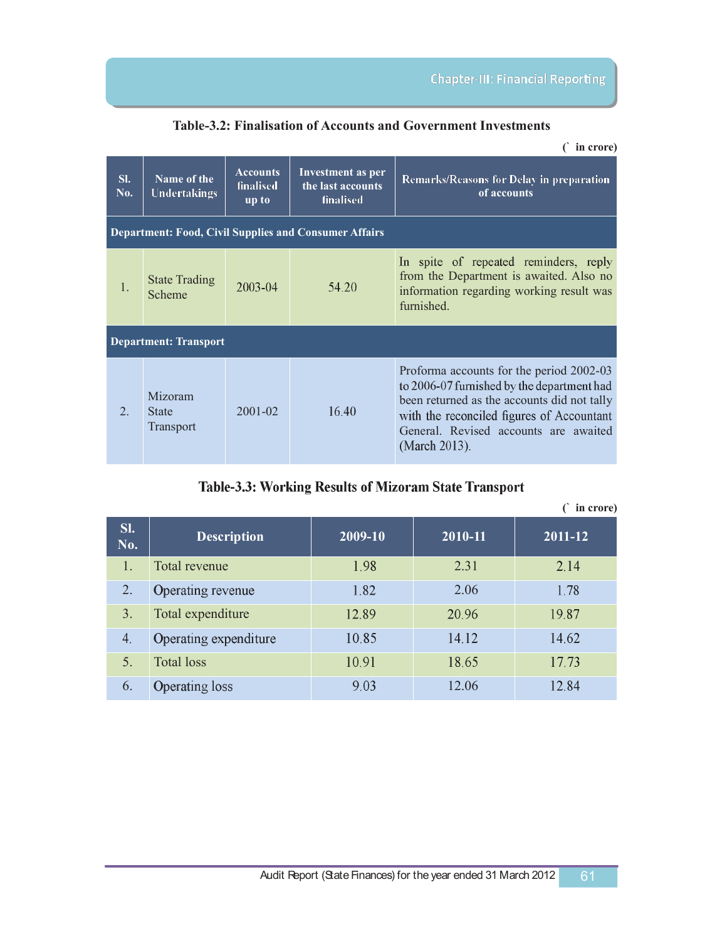**Table3.2: Finalisation of Accounts and Government Investments**

|                                                              | in crore)                            |                                              |                                                                   |                                                                                                                                                                                                                                              |  |  |  |
|--------------------------------------------------------------|--------------------------------------|----------------------------------------------|-------------------------------------------------------------------|----------------------------------------------------------------------------------------------------------------------------------------------------------------------------------------------------------------------------------------------|--|--|--|
| SI.<br>No.                                                   | Name of the<br>Undertakings          | <b>Accounts</b><br><b>finalised</b><br>up to | <b>Investment as per</b><br>the last accounts<br><b>finalised</b> | <b>Remarks/Reasons for Delay in preparation</b><br>of accounts                                                                                                                                                                               |  |  |  |
| <b>Department: Food, Civil Supplies and Consumer Affairs</b> |                                      |                                              |                                                                   |                                                                                                                                                                                                                                              |  |  |  |
| $\mathbf{1}$                                                 | <b>State Trading</b><br>Scheme       | $2003 - 04$                                  | 54.20                                                             | In spite of repeated reminders, reply<br>from the Department is awaited. Also no<br>information regarding working result was<br>furnished.                                                                                                   |  |  |  |
| <b>Department: Transport</b>                                 |                                      |                                              |                                                                   |                                                                                                                                                                                                                                              |  |  |  |
| $\overline{2}$                                               | Mizoram<br><b>State</b><br>Transport | $2001 - 02$                                  | 16.40                                                             | Proforma accounts for the period 2002-03<br>to 2006-07 furnished by the department had<br>been returned as the accounts did not tally<br>with the reconciled figures of Accountant<br>General, Revised accounts are awaited<br>(March 2013). |  |  |  |

# Table-3.3: Working Results of Mizoram State Transport

|            |                       |         |         | in crore) |
|------------|-----------------------|---------|---------|-----------|
| SI.<br>No. | <b>Description</b>    | 2009-10 | 2010-11 | 2011-12   |
| 1.         | Total revenue         | 1.98    | 2.31    | 2.14      |
| 2.         | Operating revenue     | 1.82    | 2.06    | 1.78      |
| 3.         | Total expenditure     | 12.89   | 20.96   | 19.87     |
| 4.         | Operating expenditure | 10.85   | 14.12   | 14.62     |
| 5.         | <b>Total loss</b>     | 10.91   | 18.65   | 17.73     |
| 6.         | <b>Operating loss</b> | 9.03    | 12.06   | 12.84     |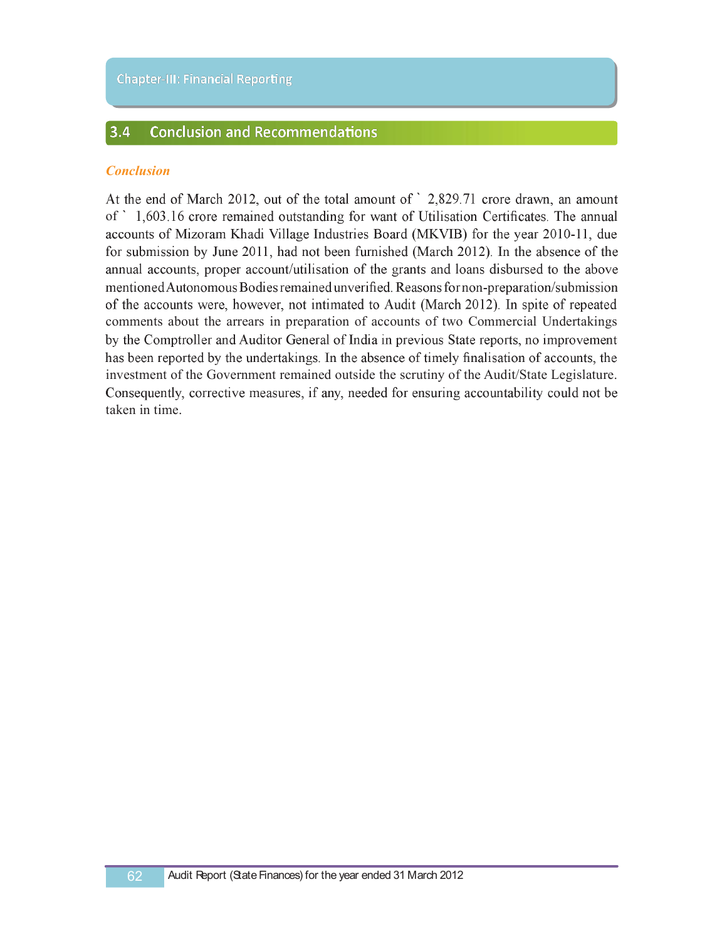#### $3.4$ **Conclusion and Recommendations**

## *Conclusion*

At the end of March 2012, out of the total amount of ` 2,829.71 crore drawn, an amount of ` 1,603.16 crore remained outstanding for want of Utilisation Certificates. The annual accounts of Mizoram Khadi Village Industries Board (MKVIB) for the year 2010-11, due for submission by June 2011, had not been furnished (March 2012). In the absence of the annual accounts, proper account/utilisation of the grants and loans disbursed to the above mentioned Autonomous Bodies remained unverified. Reasons for non-preparation/submission of the accounts were, however, not intimated to Audit (March 2012). In spite of repeated comments about the arrears in preparation of accounts of two Commercial Undertakings by the Comptroller and Auditor General of India in previous State reports, no improvement has been reported by the undertakings. In the absence of timely finalisation of accounts, the investment of the Government remained outside the scrutiny of the Audit/State Legislature. Consequently, corrective measures, if any, needed for ensuring accountability could not be taken in time.